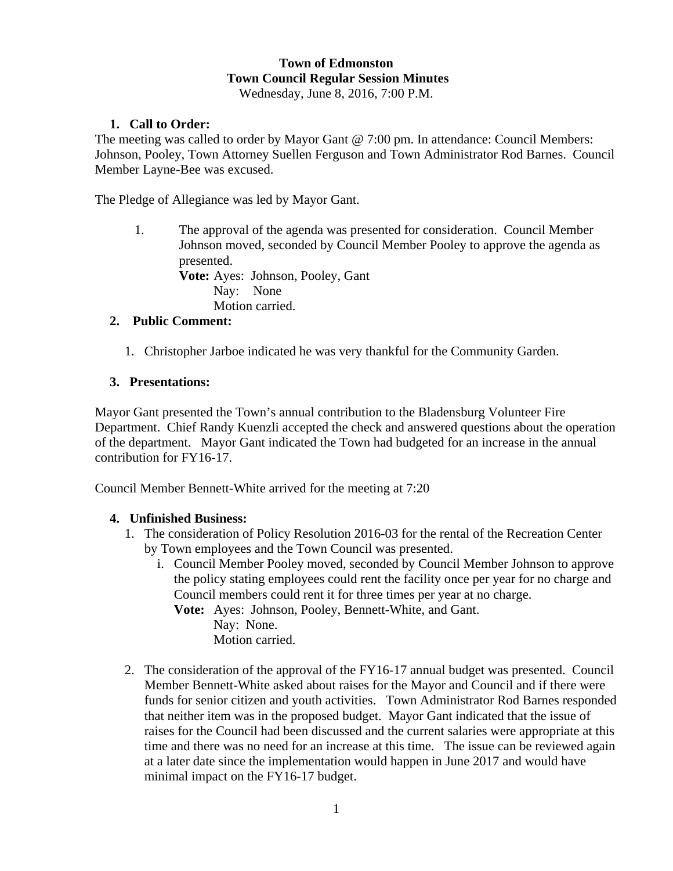# **Town of Edmonston Town Council Regular Session Minutes**

Wednesday, June 8, 2016, 7:00 P.M.

## **1. Call to Order:**

The meeting was called to order by Mayor Gant @ 7:00 pm. In attendance: Council Members: Johnson, Pooley, Town Attorney Suellen Ferguson and Town Administrator Rod Barnes. Council Member Layne-Bee was excused.

The Pledge of Allegiance was led by Mayor Gant.

1. The approval of the agenda was presented for consideration. Council Member Johnson moved, seconded by Council Member Pooley to approve the agenda as presented.

**Vote:** Ayes: Johnson, Pooley, Gant Nay: None Motion carried.

## **2. Public Comment:**

1. Christopher Jarboe indicated he was very thankful for the Community Garden.

## **3. Presentations:**

Mayor Gant presented the Town's annual contribution to the Bladensburg Volunteer Fire Department. Chief Randy Kuenzli accepted the check and answered questions about the operation of the department. Mayor Gant indicated the Town had budgeted for an increase in the annual contribution for FY16-17.

Council Member Bennett-White arrived for the meeting at 7:20

#### **4. Unfinished Business:**

- 1. The consideration of Policy Resolution 2016-03 for the rental of the Recreation Center by Town employees and the Town Council was presented.
	- i. Council Member Pooley moved, seconded by Council Member Johnson to approve the policy stating employees could rent the facility once per year for no charge and Council members could rent it for three times per year at no charge.

 **Vote:** Ayes: Johnson, Pooley, Bennett-White, and Gant.

Nay: None. Motion carried.

2. The consideration of the approval of the FY16-17 annual budget was presented. Council Member Bennett-White asked about raises for the Mayor and Council and if there were funds for senior citizen and youth activities. Town Administrator Rod Barnes responded that neither item was in the proposed budget. Mayor Gant indicated that the issue of raises for the Council had been discussed and the current salaries were appropriate at this time and there was no need for an increase at this time. The issue can be reviewed again at a later date since the implementation would happen in June 2017 and would have minimal impact on the FY16-17 budget.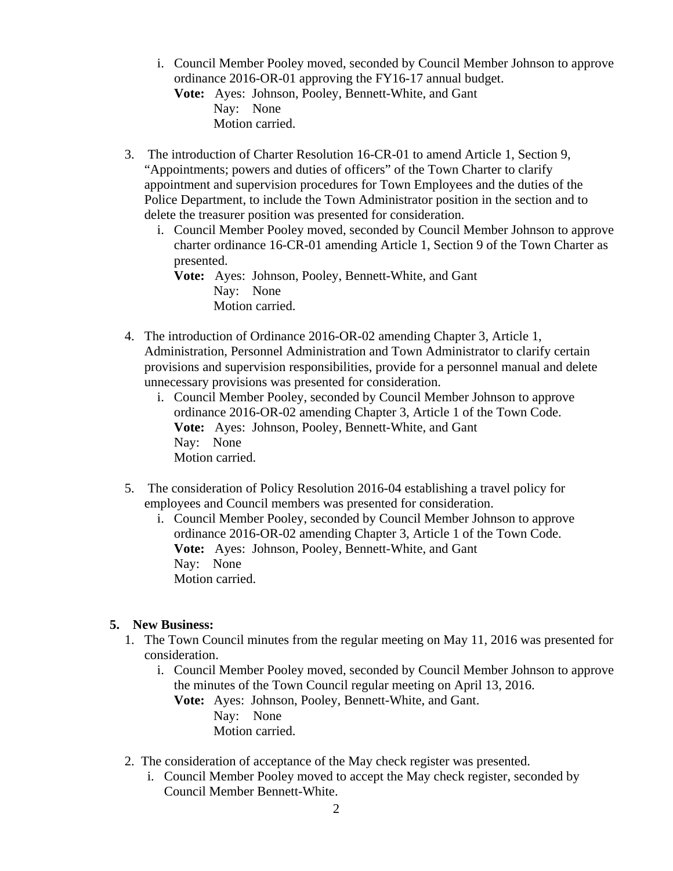- i. Council Member Pooley moved, seconded by Council Member Johnson to approve ordinance 2016-OR-01 approving the FY16-17 annual budget. **Vote:** Ayes: Johnson, Pooley, Bennett-White, and Gant Nay: None Motion carried.
- 3. The introduction of Charter Resolution 16-CR-01 to amend Article 1, Section 9, "Appointments; powers and duties of officers" of the Town Charter to clarify appointment and supervision procedures for Town Employees and the duties of the Police Department, to include the Town Administrator position in the section and to delete the treasurer position was presented for consideration.
	- i. Council Member Pooley moved, seconded by Council Member Johnson to approve charter ordinance 16-CR-01 amending Article 1, Section 9 of the Town Charter as presented.

**Vote:** Ayes: Johnson, Pooley, Bennett-White, and Gant Nay: None Motion carried.

- 4. The introduction of Ordinance 2016-OR-02 amending Chapter 3, Article 1, Administration, Personnel Administration and Town Administrator to clarify certain provisions and supervision responsibilities, provide for a personnel manual and delete unnecessary provisions was presented for consideration.
	- i. Council Member Pooley, seconded by Council Member Johnson to approve ordinance 2016-OR-02 amending Chapter 3, Article 1 of the Town Code.  **Vote:** Ayes: Johnson, Pooley, Bennett-White, and Gant Nay: None Motion carried.
- 5. The consideration of Policy Resolution 2016-04 establishing a travel policy for employees and Council members was presented for consideration.
	- i. Council Member Pooley, seconded by Council Member Johnson to approve ordinance 2016-OR-02 amending Chapter 3, Article 1 of the Town Code.  **Vote:** Ayes: Johnson, Pooley, Bennett-White, and Gant Nay: None Motion carried.

# **5. New Business:**

- 1. The Town Council minutes from the regular meeting on May 11, 2016 was presented for consideration.
	- i. Council Member Pooley moved, seconded by Council Member Johnson to approve the minutes of the Town Council regular meeting on April 13, 2016.

**Vote:** Ayes: Johnson, Pooley, Bennett-White, and Gant. Nay: None Motion carried.

- 2. The consideration of acceptance of the May check register was presented.
	- i. Council Member Pooley moved to accept the May check register, seconded by Council Member Bennett-White.